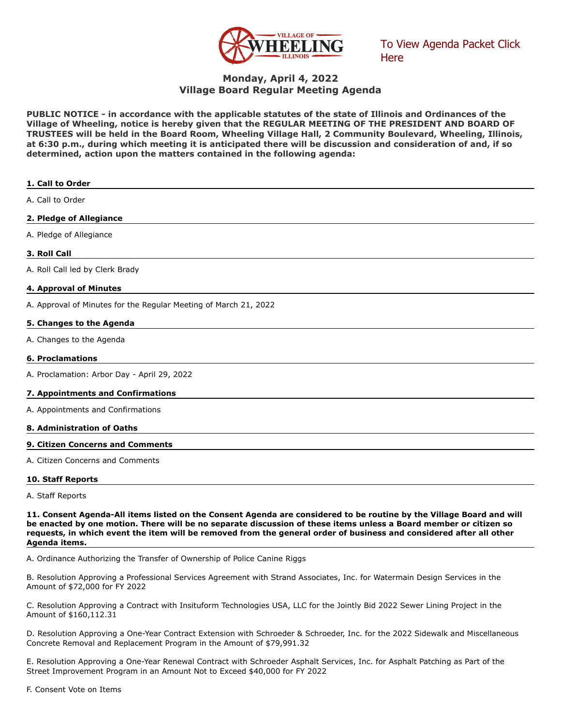

[To View Agenda Packet Click](http://go.boarddocs.com/il/vowil/Board.nsf/goto?open&id=CBMMA9599ABC)  **Here** 

# **Monday, April 4, 2022 Village Board Regular Meeting Agenda**

**PUBLIC NOTICE - in accordance with the applicable statutes of the state of Illinois and Ordinances of the Village of Wheeling, notice is hereby given that the REGULAR MEETING OF THE PRESIDENT AND BOARD OF TRUSTEES will be held in the Board Room, Wheeling Village Hall, 2 Community Boulevard, Wheeling, Illinois, at 6:30 p.m., during which meeting it is anticipated there will be discussion and consideration of and, if so determined, action upon the matters contained in the following agenda:**

| 1. Call to Order                                                 |
|------------------------------------------------------------------|
| A. Call to Order                                                 |
| 2. Pledge of Allegiance                                          |
| A. Pledge of Allegiance                                          |
| 3. Roll Call                                                     |
| A. Roll Call led by Clerk Brady                                  |
| 4. Approval of Minutes                                           |
| A. Approval of Minutes for the Regular Meeting of March 21, 2022 |
| 5. Changes to the Agenda                                         |
| A. Changes to the Agenda                                         |
| <b>6. Proclamations</b>                                          |
| A. Proclamation: Arbor Day - April 29, 2022                      |
| 7. Appointments and Confirmations                                |
| A. Appointments and Confirmations                                |

## **8. Administration of Oaths**

## **9. Citizen Concerns and Comments**

A. Citizen Concerns and Comments

## **10. Staff Reports**

A. Staff Reports

**11. Consent Agenda-All items listed on the Consent Agenda are considered to be routine by the Village Board and will be enacted by one motion. There will be no separate discussion of these items unless a Board member or citizen so requests, in which event the item will be removed from the general order of business and considered after all other Agenda items.**

A. Ordinance Authorizing the Transfer of Ownership of Police Canine Riggs

B. Resolution Approving a Professional Services Agreement with Strand Associates, Inc. for Watermain Design Services in the Amount of \$72,000 for FY 2022

C. Resolution Approving a Contract with Insituform Technologies USA, LLC for the Jointly Bid 2022 Sewer Lining Project in the Amount of \$160,112.31

D. Resolution Approving a One-Year Contract Extension with Schroeder & Schroeder, Inc. for the 2022 Sidewalk and Miscellaneous Concrete Removal and Replacement Program in the Amount of \$79,991.32

E. Resolution Approving a One-Year Renewal Contract with Schroeder Asphalt Services, Inc. for Asphalt Patching as Part of the Street Improvement Program in an Amount Not to Exceed \$40,000 for FY 2022